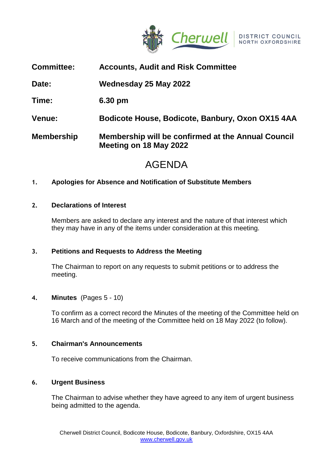

| <b>Committee:</b> | <b>Accounts, Audit and Risk Committee</b>                                    |
|-------------------|------------------------------------------------------------------------------|
| Date:             | Wednesday 25 May 2022                                                        |
| Time:             | 6.30 pm                                                                      |
| <b>Venue:</b>     | Bodicote House, Bodicote, Banbury, Oxon OX15 4AA                             |
| <b>Membership</b> | Membership will be confirmed at the Annual Council<br>Meeting on 18 May 2022 |

# AGENDA

# **1. Apologies for Absence and Notification of Substitute Members**

# **2. Declarations of Interest**

Members are asked to declare any interest and the nature of that interest which they may have in any of the items under consideration at this meeting.

# **3. Petitions and Requests to Address the Meeting**

The Chairman to report on any requests to submit petitions or to address the meeting.

# **4. Minutes** (Pages 5 - 10)

To confirm as a correct record the Minutes of the meeting of the Committee held on 16 March and of the meeting of the Committee held on 18 May 2022 (to follow).

# **5. Chairman's Announcements**

To receive communications from the Chairman.

# **6. Urgent Business**

The Chairman to advise whether they have agreed to any item of urgent business being admitted to the agenda.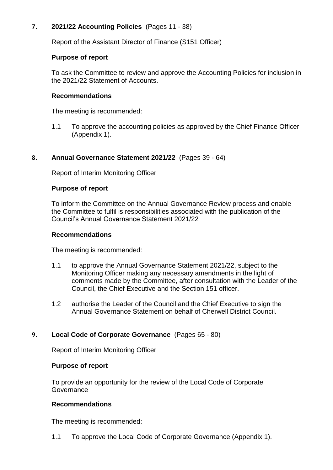# **7. 2021/22 Accounting Policies** (Pages 11 - 38)

Report of the Assistant Director of Finance (S151 Officer)

## **Purpose of report**

To ask the Committee to review and approve the Accounting Policies for inclusion in the 2021/22 Statement of Accounts.

## **Recommendations**

The meeting is recommended:

1.1 To approve the accounting policies as approved by the Chief Finance Officer (Appendix 1).

# **8. Annual Governance Statement 2021/22** (Pages 39 - 64)

Report of Interim Monitoring Officer

#### **Purpose of report**

To inform the Committee on the Annual Governance Review process and enable the Committee to fulfil is responsibilities associated with the publication of the Council's Annual Governance Statement 2021/22

#### **Recommendations**

The meeting is recommended:

- 1.1 to approve the Annual Governance Statement 2021/22, subject to the Monitoring Officer making any necessary amendments in the light of comments made by the Committee, after consultation with the Leader of the Council, the Chief Executive and the Section 151 officer.
- 1.2 authorise the Leader of the Council and the Chief Executive to sign the Annual Governance Statement on behalf of Cherwell District Council.

# **9. Local Code of Corporate Governance** (Pages 65 - 80)

Report of Interim Monitoring Officer

#### **Purpose of report**

To provide an opportunity for the review of the Local Code of Corporate **Governance** 

#### **Recommendations**

The meeting is recommended:

1.1 To approve the Local Code of Corporate Governance (Appendix 1).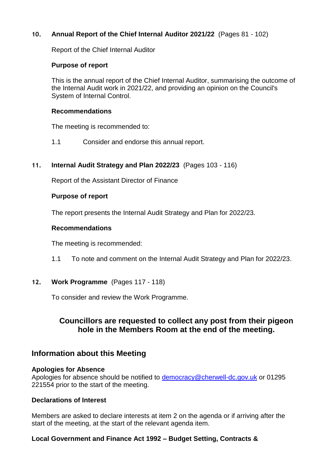# **10. Annual Report of the Chief Internal Auditor 2021/22** (Pages 81 - 102)

Report of the Chief Internal Auditor

## **Purpose of report**

This is the annual report of the Chief Internal Auditor, summarising the outcome of the Internal Audit work in 2021/22, and providing an opinion on the Council's System of Internal Control.

#### **Recommendations**

The meeting is recommended to:

1.1 Consider and endorse this annual report.

# **11. Internal Audit Strategy and Plan 2022/23** (Pages 103 - 116)

Report of the Assistant Director of Finance

#### **Purpose of report**

The report presents the Internal Audit Strategy and Plan for 2022/23.

#### **Recommendations**

The meeting is recommended:

1.1 To note and comment on the Internal Audit Strategy and Plan for 2022/23.

# **12. Work Programme** (Pages 117 - 118)

To consider and review the Work Programme.

# **Councillors are requested to collect any post from their pigeon hole in the Members Room at the end of the meeting.**

# **Information about this Meeting**

#### **Apologies for Absence**

Apologies for absence should be notified to [democracy@cherwell-dc.gov.uk](mailto:democracy@cherwell-dc.gov.uk) or 01295 221554 prior to the start of the meeting.

# **Declarations of Interest**

Members are asked to declare interests at item 2 on the agenda or if arriving after the start of the meeting, at the start of the relevant agenda item.

# **Local Government and Finance Act 1992 – Budget Setting, Contracts &**